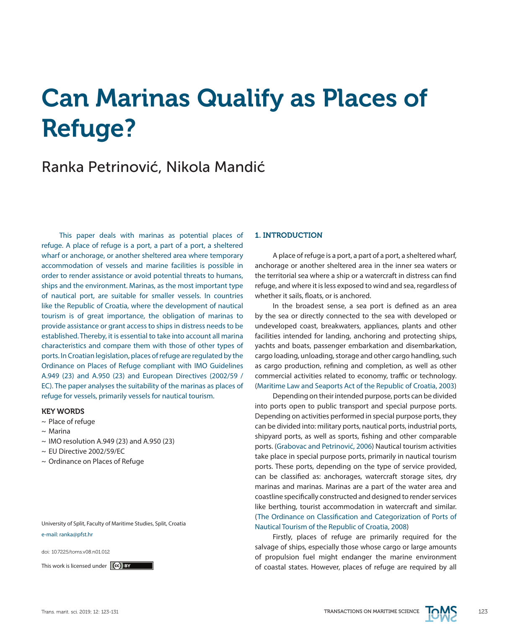# Can Marinas Qualify as Places of Refuge?

# Ranka Petrinović, Nikola Mandić

This paper deals with marinas as potential places of refuge. A place of refuge is a port, a part of a port, a sheltered wharf or anchorage, or another sheltered area where temporary accommodation of vessels and marine facilities is possible in order to render assistance or avoid potential threats to humans, ships and the environment. Marinas, as the most important type of nautical port, are suitable for smaller vessels. In countries like the Republic of Croatia, where the development of nautical tourism is of great importance, the obligation of marinas to provide assistance or grant access to ships in distress needs to be established. Thereby, it is essential to take into account all marina characteristics and compare them with those of other types of ports. In Croatian legislation, places of refuge are regulated by the Ordinance on Places of Refuge compliant with IMO Guidelines A.949 (23) and A.950 (23) and European Directives (2002/59 / EC). The paper analyses the suitability of the marinas as places of refuge for vessels, primarily vessels for nautical tourism.

#### KEY WORDS

- ~ Place of refuge
- $\sim$  Marina
- $\sim$  IMO resolution A.949 (23) and A.950 (23)
- ~ EU Directive 2002/59/EC
- ~ Ordinance on Places of Refuge

University of Split, Faculty of Maritime Studies, Split, Croatia e-mail: ranka@pfst.hr

doi: 10.7225/toms.v08.n01.012

#### 1. INTRODUCTION

A place of refuge is a port, a part of a port, a sheltered wharf, anchorage or another sheltered area in the inner sea waters or the territorial sea where a ship or a watercraft in distress can find refuge, and where it is less exposed to wind and sea, regardless of whether it sails, floats, or is anchored.

In the broadest sense, a sea port is defined as an area by the sea or directly connected to the sea with developed or undeveloped coast, breakwaters, appliances, plants and other facilities intended for landing, anchoring and protecting ships, yachts and boats, passenger embarkation and disembarkation, cargo loading, unloading, storage and other cargo handling, such as cargo production, refining and completion, as well as other commercial activities related to economy, traffic or technology. (Maritime Law and Seaports Act of the Republic of Croatia, 2003)

Depending on their intended purpose, ports can be divided into ports open to public transport and special purpose ports. Depending on activities performed in special purpose ports, they can be divided into: military ports, nautical ports, industrial ports, shipyard ports, as well as sports, fishing and other comparable ports. (Grabovac and Petrinović, 2006) Nautical tourism activities take place in special purpose ports, primarily in nautical tourism ports. These ports, depending on the type of service provided, can be classified as: anchorages, watercraft storage sites, dry marinas and marinas. Marinas are a part of the water area and coastline specifically constructed and designed to render services like berthing, tourist accommodation in watercraft and similar. (The Ordinance on Classification and Categorization of Ports of Nautical Tourism of the Republic of Croatia, 2008)

Firstly, places of refuge are primarily required for the salvage of ships, especially those whose cargo or large amounts of propulsion fuel might endanger the marine environment This work is licensed under  $(c)$  BY

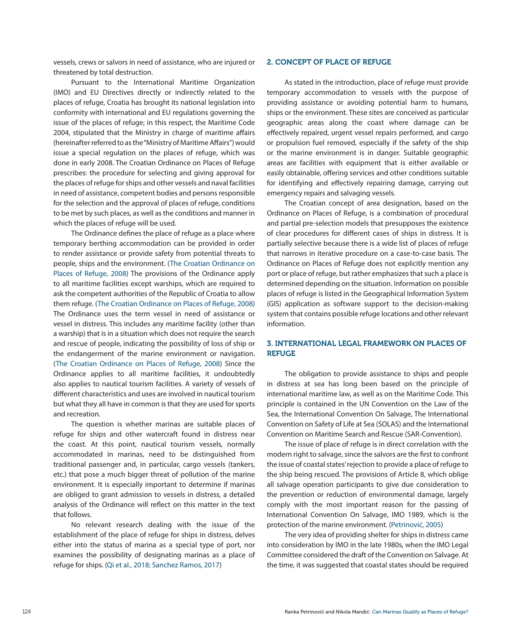vessels, crews or salvors in need of assistance, who are injured or threatened by total destruction.

Pursuant to the International Maritime Organization (IMO) and EU Directives directly or indirectly related to the places of refuge, Croatia has brought its national legislation into conformity with international and EU regulations governing the issue of the places of refuge; in this respect, the Maritime Code 2004, stipulated that the Ministry in charge of maritime affairs (hereinafter referred to as the "Ministry of Maritime Affairs") would issue a special regulation on the places of refuge, which was done in early 2008. The Croatian Ordinance on Places of Refuge prescribes: the procedure for selecting and giving approval for the places of refuge for ships and other vessels and naval facilities in need of assistance, competent bodies and persons responsible for the selection and the approval of places of refuge, conditions to be met by such places, as well as the conditions and manner in which the places of refuge will be used.

The Ordinance defines the place of refuge as a place where temporary berthing accommodation can be provided in order to render assistance or provide safety from potential threats to people, ships and the environment. (The Croatian Ordinance on Places of Refuge, 2008) The provisions of the Ordinance apply to all maritime facilities except warships, which are required to ask the competent authorities of the Republic of Croatia to allow them refuge. (The Croatian Ordinance on Places of Refuge, 2008) The Ordinance uses the term vessel in need of assistance or vessel in distress. This includes any maritime facility (other than a warship) that is in a situation which does not require the search and rescue of people, indicating the possibility of loss of ship or the endangerment of the marine environment or navigation. (The Croatian Ordinance on Places of Refuge, 2008) Since the Ordinance applies to all maritime facilities, it undoubtedly also applies to nautical tourism facilities. A variety of vessels of different characteristics and uses are involved in nautical tourism but what they all have in common is that they are used for sports and recreation.

The question is whether marinas are suitable places of refuge for ships and other watercraft found in distress near the coast. At this point, nautical tourism vessels, normally accommodated in marinas, need to be distinguished from traditional passenger and, in particular, cargo vessels (tankers, etc.) that pose a much bigger threat of pollution of the marine environment. It is especially important to determine if marinas are obliged to grant admission to vessels in distress, a detailed analysis of the Ordinance will reflect on this matter in the text that follows.

No relevant research dealing with the issue of the establishment of the place of refuge for ships in distress, delves either into the status of marina as a special type of port, nor examines the possibility of designating marinas as a place of refuge for ships. (Qi et al., 2018; Sanchez Ramos, 2017)

#### 2. CONCEPT OF PLACE OF REFUGE

As stated in the introduction, place of refuge must provide temporary accommodation to vessels with the purpose of providing assistance or avoiding potential harm to humans, ships or the environment. These sites are conceived as particular geographic areas along the coast where damage can be effectively repaired, urgent vessel repairs performed, and cargo or propulsion fuel removed, especially if the safety of the ship or the marine environment is in danger. Suitable geographic areas are facilities with equipment that is either available or easily obtainable, offering services and other conditions suitable for identifying and effectively repairing damage, carrying out emergency repairs and salvaging vessels.

The Croatian concept of area designation, based on the Ordinance on Places of Refuge, is a combination of procedural and partial pre-selection models that presupposes the existence of clear procedures for different cases of ships in distress. It is partially selective because there is a wide list of places of refuge that narrows in iterative procedure on a case-to-case basis. The Ordinance on Places of Refuge does not explicitly mention any port or place of refuge, but rather emphasizes that such a place is determined depending on the situation. Information on possible places of refuge is listed in the Geographical Information System (GIS) application as software support to the decision-making system that contains possible refuge locations and other relevant information.

## 3. INTERNATIONAL LEGAL FRAMEWORK ON PLACES OF **REFUGE**

The obligation to provide assistance to ships and people in distress at sea has long been based on the principle of international maritime law, as well as on the Maritime Code. This principle is contained in the UN Convention on the Law of the Sea, the International Convention On Salvage, The International Convention on Safety of Life at Sea (SOLAS) and the International Convention on Maritime Search and Rescue (SAR-Convention).

The issue of place of refuge is in direct correlation with the modern right to salvage, since the salvors are the first to confront the issue of coastal states' rejection to provide a place of refuge to the ship being rescued. The provisions of Article 8, which oblige all salvage operation participants to give due consideration to the prevention or reduction of environmental damage, largely comply with the most important reason for the passing of International Convention On Salvage, IMO 1989, which is the protection of the marine environment. (Petrinović, 2005)

The very idea of providing shelter for ships in distress came into consideration by IMO in the late 1980s, when the IMO Legal Committee considered the draft of the Convention on Salvage. At the time, it was suggested that coastal states should be required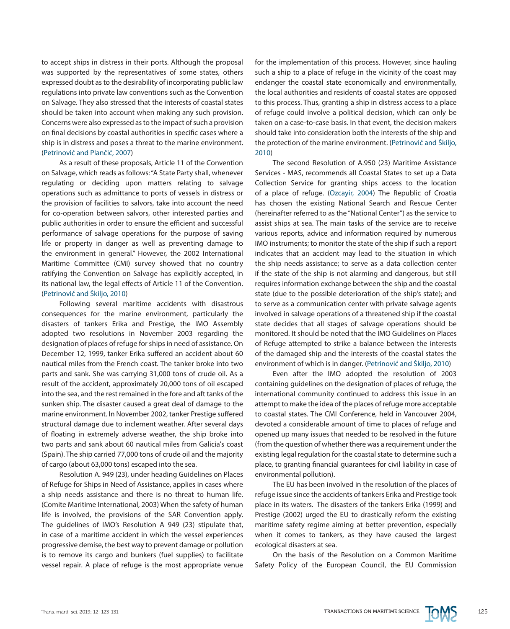to accept ships in distress in their ports. Although the proposal was supported by the representatives of some states, others expressed doubt as to the desirability of incorporating public law regulations into private law conventions such as the Convention on Salvage. They also stressed that the interests of coastal states should be taken into account when making any such provision. Concerns were also expressed as to the impact of such a provision on final decisions by coastal authorities in specific cases where a ship is in distress and poses a threat to the marine environment. (Petrinović and Plančić, 2007)

As a result of these proposals, Article 11 of the Convention on Salvage, which reads as follows: "A State Party shall, whenever regulating or deciding upon matters relating to salvage operations such as admittance to ports of vessels in distress or the provision of facilities to salvors, take into account the need for co-operation between salvors, other interested parties and public authorities in order to ensure the efficient and successful performance of salvage operations for the purpose of saving life or property in danger as well as preventing damage to the environment in general." However, the 2002 International Maritime Committee (CMI) survey showed that no country ratifying the Convention on Salvage has explicitly accepted, in its national law, the legal effects of Article 11 of the Convention. (Petrinović and Škiljo, 2010)

Following several maritime accidents with disastrous consequences for the marine environment, particularly the disasters of tankers Erika and Prestige, the IMO Assembly adopted two resolutions in November 2003 regarding the designation of places of refuge for ships in need of assistance. On December 12, 1999, tanker Erika suffered an accident about 60 nautical miles from the French coast. The tanker broke into two parts and sank. She was carrying 31,000 tons of crude oil. As a result of the accident, approximately 20,000 tons of oil escaped into the sea, and the rest remained in the fore and aft tanks of the sunken ship. The disaster caused a great deal of damage to the marine environment. In November 2002, tanker Prestige suffered structural damage due to inclement weather. After several days of floating in extremely adverse weather, the ship broke into two parts and sank about 60 nautical miles from Galicia's coast (Spain). The ship carried 77,000 tons of crude oil and the majority of cargo (about 63,000 tons) escaped into the sea.

Resolution A. 949 (23), under heading Guidelines on Places of Refuge for Ships in Need of Assistance, applies in cases where a ship needs assistance and there is no threat to human life. (Comite Maritime International, 2003) When the safety of human life is involved, the provisions of the SAR Convention apply. The guidelines of IMO's Resolution A 949 (23) stipulate that, in case of a maritime accident in which the vessel experiences progressive demise, the best way to prevent damage or pollution is to remove its cargo and bunkers (fuel supplies) to facilitate vessel repair. A place of refuge is the most appropriate venue for the implementation of this process. However, since hauling such a ship to a place of refuge in the vicinity of the coast may endanger the coastal state economically and environmentally, the local authorities and residents of coastal states are opposed to this process. Thus, granting a ship in distress access to a place of refuge could involve a political decision, which can only be taken on a case-to-case basis. In that event, the decision makers should take into consideration both the interests of the ship and the protection of the marine environment. (Petrinović and Škiljo, 2010)

The second Resolution of A.950 (23) Maritime Assistance Services - MAS, recommends all Coastal States to set up a Data Collection Service for granting ships access to the location of a place of refuge. (Ozcayir, 2004) The Republic of Croatia has chosen the existing National Search and Rescue Center (hereinafter referred to as the "National Center") as the service to assist ships at sea. The main tasks of the service are to receive various reports, advice and information required by numerous IMO instruments; to monitor the state of the ship if such a report indicates that an accident may lead to the situation in which the ship needs assistance; to serve as a data collection center if the state of the ship is not alarming and dangerous, but still requires information exchange between the ship and the coastal state (due to the possible deterioration of the ship's state); and to serve as a communication center with private salvage agents involved in salvage operations of a threatened ship if the coastal state decides that all stages of salvage operations should be monitored. It should be noted that the IMO Guidelines on Places of Refuge attempted to strike a balance between the interests of the damaged ship and the interests of the coastal states the environment of which is in danger. (Petrinović and Škiljo, 2010)

Even after the IMO adopted the resolution of 2003 containing guidelines on the designation of places of refuge, the international community continued to address this issue in an attempt to make the idea of the places of refuge more acceptable to coastal states. The CMI Conference, held in Vancouver 2004, devoted a considerable amount of time to places of refuge and opened up many issues that needed to be resolved in the future (from the question of whether there was a requirement under the existing legal regulation for the coastal state to determine such a place, to granting financial guarantees for civil liability in case of environmental pollution).

The EU has been involved in the resolution of the places of refuge issue since the accidents of tankers Erika and Prestige took place in its waters. The disasters of the tankers Erika (1999) and Prestige (2002) urged the EU to drastically reform the existing maritime safety regime aiming at better prevention, especially when it comes to tankers, as they have caused the largest ecological disasters at sea.

On the basis of the Resolution on a Common Maritime Safety Policy of the European Council, the EU Commission

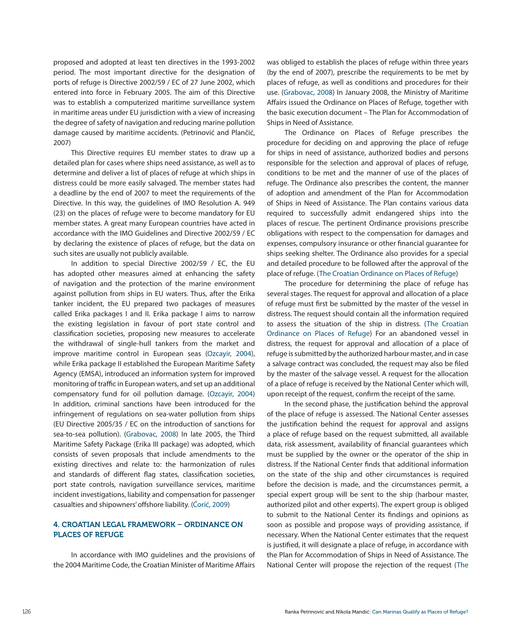proposed and adopted at least ten directives in the 1993-2002 period. The most important directive for the designation of ports of refuge is Directive 2002/59 / EC of 27 June 2002, which entered into force in February 2005. The aim of this Directive was to establish a computerized maritime surveillance system in maritime areas under EU jurisdiction with a view of increasing the degree of safety of navigation and reducing marine pollution damage caused by maritime accidents. (Petrinović and Plančić, 2007)

This Directive requires EU member states to draw up a detailed plan for cases where ships need assistance, as well as to determine and deliver a list of places of refuge at which ships in distress could be more easily salvaged. The member states had a deadline by the end of 2007 to meet the requirements of the Directive. In this way, the guidelines of IMO Resolution A. 949 (23) on the places of refuge were to become mandatory for EU member states. A great many European countries have acted in accordance with the IMO Guidelines and Directive 2002/59 / EC by declaring the existence of places of refuge, but the data on such sites are usually not publicly available.

In addition to special Directive 2002/59 / EC, the EU has adopted other measures aimed at enhancing the safety of navigation and the protection of the marine environment against pollution from ships in EU waters. Thus, after the Erika tanker incident, the EU prepared two packages of measures called Erika packages I and II. Erika package I aims to narrow the existing legislation in favour of port state control and classification societies, proposing new measures to accelerate the withdrawal of single-hull tankers from the market and improve maritime control in European seas (Ozcayir, 2004), while Erika package II established the European Maritime Safety Agency (EMSA), introduced an information system for improved monitoring of traffic in European waters, and set up an additional compensatory fund for oil pollution damage. (Ozcayir, 2004) In addition, criminal sanctions have been introduced for the infringement of regulations on sea-water pollution from ships (EU Directive 2005/35 / EC on the introduction of sanctions for sea-to-sea pollution). (Grabovac, 2008) In late 2005, the Third Maritime Safety Package (Erika III package) was adopted, which consists of seven proposals that include amendments to the existing directives and relate to: the harmonization of rules and standards of different flag states, classification societies, port state controls, navigation surveillance services, maritime incident investigations, liability and compensation for passenger casualties and shipowners' offshore liability. (Ćorić, 2009)

# 4. CROATIAN LEGAL FRAMEWORK – ORDINANCE ON PLACES OF REFUGE

In accordance with IMO guidelines and the provisions of the 2004 Maritime Code, the Croatian Minister of Maritime Affairs

was obliged to establish the places of refuge within three years (by the end of 2007), prescribe the requirements to be met by places of refuge, as well as conditions and procedures for their use. (Grabovac, 2008) In January 2008, the Ministry of Maritime Affairs issued the Ordinance on Places of Refuge, together with the basic execution document – The Plan for Accommodation of Ships in Need of Assistance.

The Ordinance on Places of Refuge prescribes the procedure for deciding on and approving the place of refuge for ships in need of assistance, authorized bodies and persons responsible for the selection and approval of places of refuge, conditions to be met and the manner of use of the places of refuge. The Ordinance also prescribes the content, the manner of adoption and amendment of the Plan for Accommodation of Ships in Need of Assistance. The Plan contains various data required to successfully admit endangered ships into the places of rescue. The pertinent Ordinance provisions prescribe obligations with respect to the compensation for damages and expenses, compulsory insurance or other financial guarantee for ships seeking shelter. The Ordinance also provides for a special and detailed procedure to be followed after the approval of the place of refuge. (The Croatian Ordinance on Places of Refuge)

The procedure for determining the place of refuge has several stages. The request for approval and allocation of a place of refuge must first be submitted by the master of the vessel in distress. The request should contain all the information required to assess the situation of the ship in distress. (The Croatian Ordinance on Places of Refuge) For an abandoned vessel in distress, the request for approval and allocation of a place of refuge is submitted by the authorized harbour master, and in case a salvage contract was concluded, the request may also be filed by the master of the salvage vessel. A request for the allocation of a place of refuge is received by the National Center which will, upon receipt of the request, confirm the receipt of the same.

In the second phase, the justification behind the approval of the place of refuge is assessed. The National Center assesses the justification behind the request for approval and assigns a place of refuge based on the request submitted, all available data, risk assessment, availability of financial guarantees which must be supplied by the owner or the operator of the ship in distress. If the National Center finds that additional information on the state of the ship and other circumstances is required before the decision is made, and the circumstances permit, a special expert group will be sent to the ship (harbour master, authorized pilot and other experts). The expert group is obliged to submit to the National Center its findings and opinions as soon as possible and propose ways of providing assistance, if necessary. When the National Center estimates that the request is justified, it will designate a place of refuge, in accordance with the Plan for Accommodation of Ships in Need of Assistance. The National Center will propose the rejection of the request (The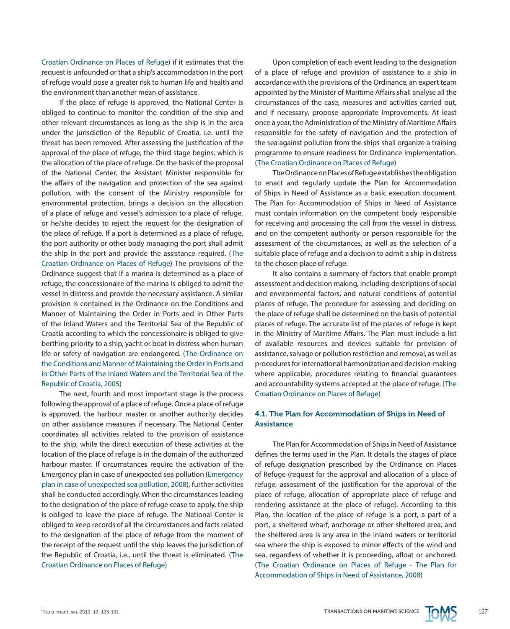Croatian Ordinance on Places of Refuge) if it estimates that the request is unfounded or that a ship's accommodation in the port of refuge would pose a greater risk to human life and health and the environment than another mean of assistance.

If the place of refuge is approved, the National Center is obliged to continue to monitor the condition of the ship and other relevant circumstances as long as the ship is in the area under the jurisdiction of the Republic of Croatia, i.e. until the threat has been removed. After assessing the justification of the approval of the place of refuge, the third stage begins, which is the allocation of the place of refuge. On the basis of the proposal of the National Center, the Assistant Minister responsible for the affairs of the navigation and protection of the sea against pollution, with the consent of the Ministry responsible for environmental protection, brings a decision on the allocation of a place of refuge and vessel's admission to a place of refuge, or he/she decides to reject the request for the designation of the place of refuge. If a port is determined as a place of refuge, the port authority or other body managing the port shall admit the ship in the port and provide the assistance required. (The Croatian Ordinance on Places of Refuge) The provisions of the Ordinance suggest that if a marina is determined as a place of refuge, the concessionaire of the marina is obliged to admit the vessel in distress and provide the necessary assistance. A similar provision is contained in the Ordinance on the Conditions and Manner of Maintaining the Order in Ports and in Other Parts of the Inland Waters and the Territorial Sea of the Republic of Croatia according to which the concessionaire is obliged to give berthing priority to a ship, yacht or boat in distress when human life or safety of navigation are endangered. (The Ordinance on the Conditions and Manner of Maintaining the Order in Ports and in Other Parts of the Inland Waters and the Territorial Sea of the Republic of Croatia, 2005)

The next, fourth and most important stage is the process following the approval of a place of refuge. Once a place of refuge is approved, the harbour master or another authority decides on other assistance measures if necessary. The National Center coordinates all activities related to the provision of assistance to the ship, while the direct execution of these activities at the location of the place of refuge is in the domain of the authorized harbour master. If circumstances require the activation of the Emergency plan in case of unexpected sea pollution (Emergency plan in case of unexpected sea pollution, 2008), further activities shall be conducted accordingly. When the circumstances leading to the designation of the place of refuge cease to apply, the ship is obliged to leave the place of refuge. The National Center is obliged to keep records of all the circumstances and facts related to the designation of the place of refuge from the moment of the receipt of the request until the ship leaves the jurisdiction of the Republic of Croatia, i.e., until the threat is eliminated. (The Croatian Ordinance on Places of Refuge)

Upon completion of each event leading to the designation of a place of refuge and provision of assistance to a ship in accordance with the provisions of the Ordinance, an expert team appointed by the Minister of Maritime Affairs shall analyse all the circumstances of the case, measures and activities carried out, and if necessary, propose appropriate improvements. At least once a year, the Administration of the Ministry of Maritime Affairs responsible for the safety of navigation and the protection of the sea against pollution from the ships shall organize a training programme to ensure readiness for Ordinance implementation. (The Croatian Ordinance on Places of Refuge)

The Ordinance on Places of Refuge establishes the obligation to enact and regularly update the Plan for Accommodation of Ships in Need of Assistance as a basic execution document. The Plan for Accommodation of Ships in Need of Assistance must contain information on the competent body responsible for receiving and processing the call from the vessel in distress, and on the competent authority or person responsible for the assessment of the circumstances, as well as the selection of a suitable place of refuge and a decision to admit a ship in distress to the chosen place of refuge.

It also contains a summary of factors that enable prompt assessment and decision making, including descriptions of social and environmental factors, and natural conditions of potential places of refuge. The procedure for assessing and deciding on the place of refuge shall be determined on the basis of potential places of refuge. The accurate list of the places of refuge is kept in the Ministry of Maritime Affairs. The Plan must include a list of available resources and devices suitable for provision of assistance, salvage or pollution restriction and removal, as well as procedures for international harmonization and decision-making where applicable, procedures relating to financial guarantees and accountability systems accepted at the place of refuge. (The Croatian Ordinance on Places of Refuge)

# 4.1. The Plan for Accommodation of Ships in Need of **Assistance**

The Plan for Accommodation of Ships in Need of Assistance defines the terms used in the Plan. It details the stages of place of refuge designation prescribed by the Ordinance on Places of Refuge (request for the approval and allocation of a place of refuge, assessment of the justification for the approval of the place of refuge, allocation of appropriate place of refuge and rendering assistance at the place of refuge). According to this Plan, the location of the place of refuge is a port, a part of a port, a sheltered wharf, anchorage or other sheltered area, and the sheltered area is any area in the inland waters or territorial sea where the ship is exposed to minor effects of the wind and sea, regardless of whether it is proceeding, afloat or anchored. (The Croatian Ordinance on Places of Refuge - The Plan for Accommodation of Ships in Need of Assistance, 2008)

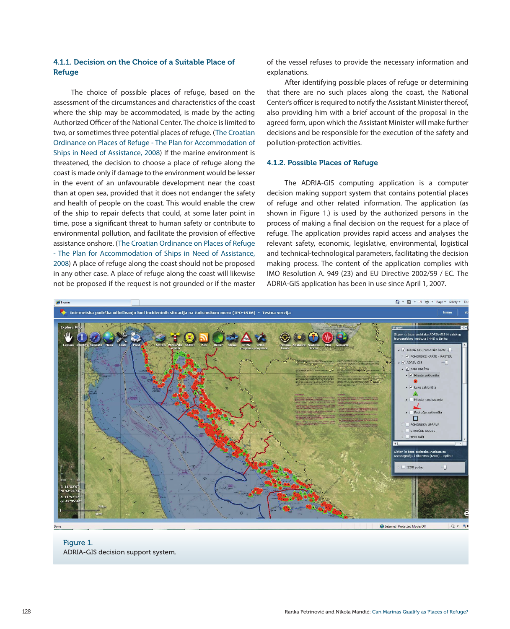## 4.1.1. Decision on the Choice of a Suitable Place of Refuge

The choice of possible places of refuge, based on the assessment of the circumstances and characteristics of the coast where the ship may be accommodated, is made by the acting Authorized Officer of the National Center. The choice is limited to two, or sometimes three potential places of refuge. (The Croatian Ordinance on Places of Refuge - The Plan for Accommodation of Ships in Need of Assistance, 2008) If the marine environment is threatened, the decision to choose a place of refuge along the coast is made only if damage to the environment would be lesser in the event of an unfavourable development near the coast than at open sea, provided that it does not endanger the safety and health of people on the coast. This would enable the crew of the ship to repair defects that could, at some later point in time, pose a significant threat to human safety or contribute to environmental pollution, and facilitate the provision of effective assistance onshore. (The Croatian Ordinance on Places of Refuge - The Plan for Accommodation of Ships in Need of Assistance, 2008) A place of refuge along the coast should not be proposed in any other case. A place of refuge along the coast will likewise not be proposed if the request is not grounded or if the master of the vessel refuses to provide the necessary information and explanations.

After identifying possible places of refuge or determining that there are no such places along the coast, the National Center's officer is required to notify the Assistant Minister thereof, also providing him with a brief account of the proposal in the agreed form, upon which the Assistant Minister will make further decisions and be responsible for the execution of the safety and pollution-protection activities.

#### 4.1.2. Possible Places of Refuge

The ADRIA-GIS computing application is a computer decision making support system that contains potential places of refuge and other related information. The application (as shown in Figure 1.) is used by the authorized persons in the process of making a final decision on the request for a place of refuge. The application provides rapid access and analyses the relevant safety, economic, legislative, environmental, logistical and technical-technological parameters, facilitating the decision making process. The content of the application complies with IMO Resolution A. 949 (23) and EU Directive 2002/59 / EC. The ADRIA-GIS application has been in use since April 1, 2007.



## Figure 1. ADRIA-GIS decision support system.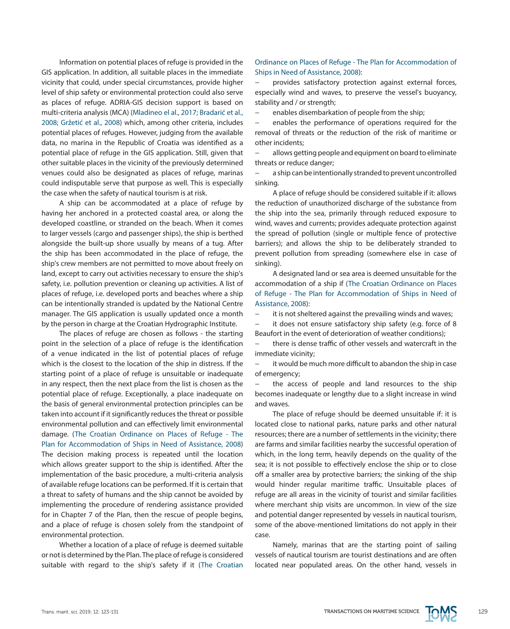Information on potential places of refuge is provided in the GIS application. In addition, all suitable places in the immediate vicinity that could, under special circumstances, provide higher level of ship safety or environmental protection could also serve as places of refuge. ADRIA-GIS decision support is based on multi-criteria analysis (MCA) (Mladineo el al., 2017; Bradarić et al., 2008; Gržetić et al., 2008) which, among other criteria, includes potential places of refuges. However, judging from the available data, no marina in the Republic of Croatia was identified as a potential place of refuge in the GIS application. Still, given that other suitable places in the vicinity of the previously determined venues could also be designated as places of refuge, marinas could indisputable serve that purpose as well. This is especially the case when the safety of nautical tourism is at risk.

A ship can be accommodated at a place of refuge by having her anchored in a protected coastal area, or along the developed coastline, or stranded on the beach. When it comes to larger vessels (cargo and passenger ships), the ship is berthed alongside the built-up shore usually by means of a tug. After the ship has been accommodated in the place of refuge, the ship's crew members are not permitted to move about freely on land, except to carry out activities necessary to ensure the ship's safety, i.e. pollution prevention or cleaning up activities. A list of places of refuge, i.e. developed ports and beaches where a ship can be intentionally stranded is updated by the National Centre manager. The GIS application is usually updated once a month by the person in charge at the Croatian Hydrographic Institute.

The places of refuge are chosen as follows - the starting point in the selection of a place of refuge is the identification of a venue indicated in the list of potential places of refuge which is the closest to the location of the ship in distress. If the starting point of a place of refuge is unsuitable or inadequate in any respect, then the next place from the list is chosen as the potential place of refuge. Exceptionally, a place inadequate on the basis of general environmental protection principles can be taken into account if it significantly reduces the threat or possible environmental pollution and can effectively limit environmental damage. (The Croatian Ordinance on Places of Refuge - The Plan for Accommodation of Ships in Need of Assistance, 2008) The decision making process is repeated until the location which allows greater support to the ship is identified. After the implementation of the basic procedure, a multi-criteria analysis of available refuge locations can be performed. If it is certain that a threat to safety of humans and the ship cannot be avoided by implementing the procedure of rendering assistance provided for in Chapter 7 of the Plan, then the rescue of people begins, and a place of refuge is chosen solely from the standpoint of environmental protection.

Whether a location of a place of refuge is deemed suitable or not is determined by the Plan. The place of refuge is considered suitable with regard to the ship's safety if it (The Croatian

#### Ordinance on Places of Refuge - The Plan for Accommodation of Ships in Need of Assistance, 2008):

provides satisfactory protection against external forces, especially wind and waves, to preserve the vessel's buoyancy, stability and / or strength;

enables disembarkation of people from the ship;

enables the performance of operations required for the removal of threats or the reduction of the risk of maritime or other incidents;

− allows getting people and equipment on board to eliminate threats or reduce danger;

− a ship can be intentionally stranded to prevent uncontrolled sinking.

A place of refuge should be considered suitable if it: allows the reduction of unauthorized discharge of the substance from the ship into the sea, primarily through reduced exposure to wind, waves and currents; provides adequate protection against the spread of pollution (single or multiple fence of protective barriers); and allows the ship to be deliberately stranded to prevent pollution from spreading (somewhere else in case of sinking).

A designated land or sea area is deemed unsuitable for the accommodation of a ship if (The Croatian Ordinance on Places of Refuge - The Plan for Accommodation of Ships in Need of Assistance, 2008):

it is not sheltered against the prevailing winds and waves;

− it does not ensure satisfactory ship safety (e.g. force of 8 Beaufort in the event of deterioration of weather conditions);

there is dense traffic of other vessels and watercraft in the immediate vicinity;

it would be much more difficult to abandon the ship in case of emergency;

the access of people and land resources to the ship becomes inadequate or lengthy due to a slight increase in wind and waves.

The place of refuge should be deemed unsuitable if: it is located close to national parks, nature parks and other natural resources; there are a number of settlements in the vicinity; there are farms and similar facilities nearby the successful operation of which, in the long term, heavily depends on the quality of the sea; it is not possible to effectively enclose the ship or to close off a smaller area by protective barriers; the sinking of the ship would hinder regular maritime traffic. Unsuitable places of refuge are all areas in the vicinity of tourist and similar facilities where merchant ship visits are uncommon. In view of the size and potential danger represented by vessels in nautical tourism, some of the above-mentioned limitations do not apply in their case.

Namely, marinas that are the starting point of sailing vessels of nautical tourism are tourist destinations and are often located near populated areas. On the other hand, vessels in

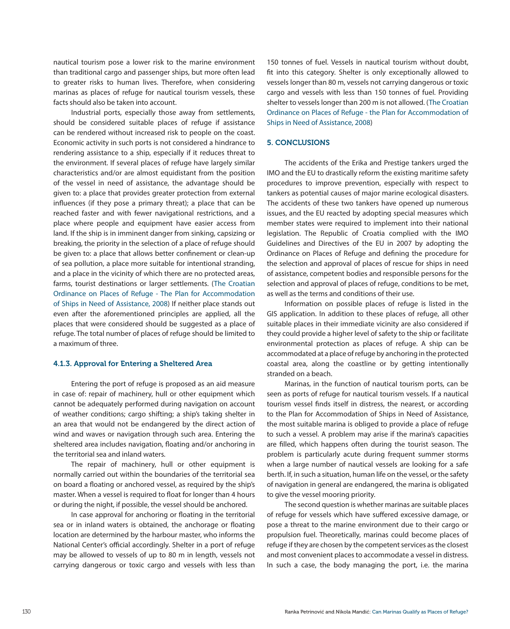nautical tourism pose a lower risk to the marine environment than traditional cargo and passenger ships, but more often lead to greater risks to human lives. Therefore, when considering marinas as places of refuge for nautical tourism vessels, these facts should also be taken into account.

Industrial ports, especially those away from settlements, should be considered suitable places of refuge if assistance can be rendered without increased risk to people on the coast. Economic activity in such ports is not considered a hindrance to rendering assistance to a ship, especially if it reduces threat to the environment. If several places of refuge have largely similar characteristics and/or are almost equidistant from the position of the vessel in need of assistance, the advantage should be given to: a place that provides greater protection from external influences (if they pose a primary threat); a place that can be reached faster and with fewer navigational restrictions, and a place where people and equipment have easier access from land. If the ship is in imminent danger from sinking, capsizing or breaking, the priority in the selection of a place of refuge should be given to: a place that allows better confinement or clean-up of sea pollution, a place more suitable for intentional stranding, and a place in the vicinity of which there are no protected areas, farms, tourist destinations or larger settlements. (The Croatian Ordinance on Places of Refuge - The Plan for Accommodation of Ships in Need of Assistance, 2008) If neither place stands out even after the aforementioned principles are applied, all the places that were considered should be suggested as a place of refuge. The total number of places of refuge should be limited to a maximum of three.

# 4.1.3. Approval for Entering a Sheltered Area

Entering the port of refuge is proposed as an aid measure in case of: repair of machinery, hull or other equipment which cannot be adequately performed during navigation on account of weather conditions; cargo shifting; a ship's taking shelter in an area that would not be endangered by the direct action of wind and waves or navigation through such area. Entering the sheltered area includes navigation, floating and/or anchoring in the territorial sea and inland waters.

The repair of machinery, hull or other equipment is normally carried out within the boundaries of the territorial sea on board a floating or anchored vessel, as required by the ship's master. When a vessel is required to float for longer than 4 hours or during the night, if possible, the vessel should be anchored.

In case approval for anchoring or floating in the territorial sea or in inland waters is obtained, the anchorage or floating location are determined by the harbour master, who informs the National Center's official accordingly. Shelter in a port of refuge may be allowed to vessels of up to 80 m in length, vessels not carrying dangerous or toxic cargo and vessels with less than 150 tonnes of fuel. Vessels in nautical tourism without doubt, fit into this category. Shelter is only exceptionally allowed to vessels longer than 80 m, vessels not carrying dangerous or toxic cargo and vessels with less than 150 tonnes of fuel. Providing shelter to vessels longer than 200 m is not allowed. (The Croatian Ordinance on Places of Refuge - the Plan for Accommodation of Ships in Need of Assistance, 2008)

#### 5. CONCLUSIONS

The accidents of the Erika and Prestige tankers urged the IMO and the EU to drastically reform the existing maritime safety procedures to improve prevention, especially with respect to tankers as potential causes of major marine ecological disasters. The accidents of these two tankers have opened up numerous issues, and the EU reacted by adopting special measures which member states were required to implement into their national legislation. The Republic of Croatia complied with the IMO Guidelines and Directives of the EU in 2007 by adopting the Ordinance on Places of Refuge and defining the procedure for the selection and approval of places of rescue for ships in need of assistance, competent bodies and responsible persons for the selection and approval of places of refuge, conditions to be met, as well as the terms and conditions of their use.

Information on possible places of refuge is listed in the GIS application. In addition to these places of refuge, all other suitable places in their immediate vicinity are also considered if they could provide a higher level of safety to the ship or facilitate environmental protection as places of refuge. A ship can be accommodated at a place of refuge by anchoring in the protected coastal area, along the coastline or by getting intentionally stranded on a beach.

Marinas, in the function of nautical tourism ports, can be seen as ports of refuge for nautical tourism vessels. If a nautical tourism vessel finds itself in distress, the nearest, or according to the Plan for Accommodation of Ships in Need of Assistance, the most suitable marina is obliged to provide a place of refuge to such a vessel. A problem may arise if the marina's capacities are filled, which happens often during the tourist season. The problem is particularly acute during frequent summer storms when a large number of nautical vessels are looking for a safe berth. If, in such a situation, human life on the vessel, or the safety of navigation in general are endangered, the marina is obligated to give the vessel mooring priority.

The second question is whether marinas are suitable places of refuge for vessels which have suffered excessive damage, or pose a threat to the marine environment due to their cargo or propulsion fuel. Theoretically, marinas could become places of refuge if they are chosen by the competent services as the closest and most convenient places to accommodate a vessel in distress. In such a case, the body managing the port, i.e. the marina